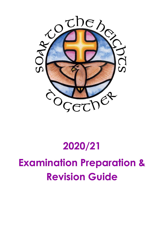

# **2020/21**

# **Examination Preparation & Revision Guide**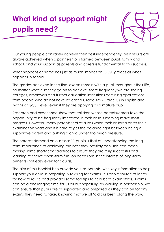## **What kind of support might pupils need?**



Our young people can rarely achieve their best independently; best results are always achieved when a partnership is formed between pupil, family and school, and your support as parents and carers is fundamental to this success.

What happens at home has just as much impact on GCSE grades as what happens in school.

The grades achieved in the final exams remain with a pupil throughout their life, no matter what else they go on to achieve. More frequently we are seeing colleges, employers and further education institutions declining applications from people who do not have at least a Grade 4/5 (Grade C) in English and Maths at GCSE level, even if they are applying as a mature pupil.

Research and experience show that children whose parents/carers take the opportunity to be frequently interested in their child's learning make most progress. However, many parents feel at a loss when their children enter their examination years and it is hard to get the balance right between being a supportive parent and putting a child under too much pressure.

The hardest demand on our Year 11 pupils is that of understanding the longterm importance of achieving the best they possibly can. This can mean making some short-term sacrifices to ensure they are truly successful and learning to shelve 'short-term fun' on occasions in the interest of long-term benefits (not easy even for adults!).

The aim of this booklet is to provide you, as parents, with key information to help support your child in preparing & revising for exams. It is also a source of ideas for how to revise and provides some top tips to help beat exam stress. Exams can be a challenging time for us all but hopefully, by working in partnership, we can ensure that pupils are as supported and prepared as they can be for any exams they need to take, knowing that we all 'did our best' along the way.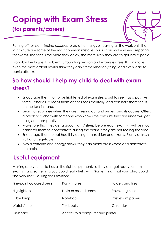### **Coping with Exam Stress (for parents/carers)**



Putting off revision, finding excuses to do other things or leaving all the work until the last minute are some of the most common mistakes pupils can make when preparing for exams. The fact is the more they delay, the more likely they are to get into a panic.

Probably the biggest problem surrounding revision and exams is stress. It can make even the most ardent reviser think they can't remember anything, and even lead to panic attacks.

### **So how should I help my child to deal with exam stress?**

- Encourage them not to be frightened of exam stress, but to see it as a positive force - after all, it keeps them on their toes mentally, and can help them focus on the task in hand.
- Learn to recognise when they are stressing out and understand its causes. Often, a break or a chat with someone who knows the pressure they are under will get things into perspective.
- Make sure that they get a good nights' sleep before each exam it will be much easier for them to concentrate during the exam if they are not feeling too tired.
- Encourage them to eat healthily during their revision and exams: Plenty of fresh fruit and vegetables.
- Avoid caffeine and energy drinks, they can make stress worse and dehydrate the brain.

### **Useful equipment**

Making sure your child has all the right equipment, so they can get ready for their exams is also something you could really help with. Some things that your child could find very useful during their revision:

| Fine-point coloured pens | Post-it notes                    | Folders and files |
|--------------------------|----------------------------------|-------------------|
| <b>Highlighters</b>      | Note or record cards             | Revision guides   |
| Table lamp               | <b>Notebooks</b>                 | Past exam papers  |
| Watch/timer              | <b>Textbooks</b>                 | Calendar          |
| Pin-board                | Access to a computer and printer |                   |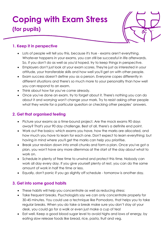## **Coping with Exam Stress (for pupils)**



#### **1. Keep it in perspective**

- Lots of people will tell you this, because it's true exams aren't everything. Whatever happens in your exams, you can still be successful in life afterwards. So, if you don't do as well as you'd hoped, try to keep things in perspective.
- Employers don't just look at your exam scores. They're just as interested in your attitude, your transferable skills and how well you'll get on with other people.
- Exam success doesn't define you as a person. Everyone copes differently in different situations and there's so much more to your personality than how well you can respond to an exam.
- Think about how far you've come already.
- Once you've done an exam, try to forget about it. There's nothing you can do about it and worrying won't change your mark. Try to resist asking other people what they wrote for a particular question or checking other peoples' answers.

#### **2. Get that organised feeling**

- Picture your exams as a time-bound project. Are the mock exams 90 days away? That's your 90 day challenge. Best of all, there's a definite end point.
- Work out the basics: which exams you have, how the marks are allocated, and how much you have to learn for each one. Don't expect to learn everything; but having in mind where you'll get the marks can help you prioritise.
- Break your revision down into small chunks and form a plan. Once you've got a plan, you won't have any more dilemmas at the start of the day about what to work on.
- Schedule in plenty of free time to unwind and protect this time. Nobody can work all day every day. If you give yourself plenty of rest, you can do the same amount of work in half the time or less.
- Equally, don't panic if you go slightly off schedule tomorrow is another day.

#### **3. Get into some good habits**

- These habits will help you concentrate as well as reducing stress:
- Take frequent breaks. Psychologists say we can only concentrate properly for 30-45 minutes. You could use a technique like Pomodoro, that helps you to take regular breaks. When you do take a break make sure you don't stay at your desk, you could go for a walk or even just make a cup of tea!
- Eat well. Keep a good blood sugar level to avoid highs and lows of energy, by eating slow release foods like bread, rice, pasta, fruit and veg.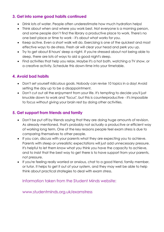#### **3. Get into some good habits continued**

- Drink lots of water. People often underestimate how much hydration helps!
- Think about when and where you work best. Not everyone is a morning person, and some people don't find the library a productive place to work. There's no one best place or time to work - it's about what works for you.
- Keep active. Even a short walk will do. Exercising is one of the quickest and most effective ways to de-stress. Fresh air will clear your head and perk you up.
- Try to get about 8 hours' sleep a night. If you're stressed about not being able to sleep, there are lots of ways to aid a good night's sleep.
- Find activities that help you relax. Maybe it's a hot bath, watching a TV show, or a creative activity. Schedule this down-time into your timetable.

#### **4. Avoid bad habits**

- Don't set yourself ridiculous goals. Nobody can revise 10 topics in a day! Avoid setting the day up to be a disappointment.
- Don't cut out all the enjoyment from your life. It's tempting to decide you'll just knuckle down to work and "focus", but this is counterproductive - it's impossible to focus without giving your brain rest by doing other activities.

#### **5. Get support from friends and family**

- Don't be put off by friends saying that they are doing huge amounts of revision. As already mentioned, that's probably not actually a productive or efficient way of working long term. One of the key reasons people feel exam stress is due to comparing themselves to other people.
- If you can, discuss with your parents what they are expecting you to achieve. Parents with steep or unrealistic expectations will just add unnecessary pressure. It's helpful to let them know what you think you have the capacity to achieve, and to insist that the best way to get there is to have support from your parents, not pressure.
- If you're feeling really worried or anxious, chat to a good friend, family member, or tutor. It helps to get it out of your system, and they may well be able to help think about practical strategies to deal with exam stress.

Information taken from the Student Minds website:

www.studentminds.org.uk/examstress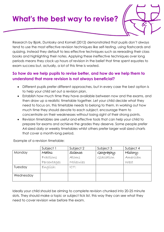# **What's the best way to revise?**



Research by Bjork, Dunlosky and Kornell (2012) demonstrated that pupils don't always tend to use the most effective revision techniques like self-testing, using flashcards and quizzing. Instead they default to less effective techniques such as rereading their class books and highlighting their notes. Applying these ineffective techniques over long periods means they clock up hours of revision in the belief that time spent equates to exam success but, actually, a lot of this time is wasted.

#### **So how do we help pupils to revise better, and how do we help them to understand that more revision is not always beneficial?**

- Different pupils prefer different approaches, but in every case the best option is to help your child set out a revision plan.
- Establish how much time they have available between now and the exams, and then draw up a realistic timetable together. Let your child decide what they need to focus on, this timetable needs to belong to them. In working out how much time they should devote to each subject, encourage them to concentrate on their weaknesses without losing sight of their strong points.
- Revision timetables are useful and effective tools that can help your child to prepare for exams and achieve the grades they deserve. Some people prefer A4 sized daily or weekly timetables whilst others prefer larger wall sized charts that cover a month-long period.

Example of a revision timetable:

|           | Subject 1   | Subject 2 | Subject 3  | Subject 4 |
|-----------|-------------|-----------|------------|-----------|
| Monday    | Maths:      | Science:  | Geography: | History:  |
|           | Fractions   | Atoms     | Glacíation | Amerícan  |
|           | Percentages | Molecules |            | West      |
| Tuesday   | English:    | ICT:      |            |           |
| Wednesday |             |           |            |           |

Ideally your child should be aiming to complete revision chunked into 20-25 minute slots. They should make a topic or subject tick list, this way they can see what they need to cover revision wise before the exam.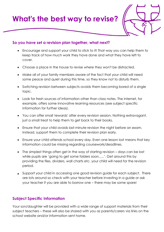**What's the best way to revise?** 



#### **So you have set a revision plan together, what next?**

- Encourage and support your child to stick to it! That way you can help them to keep track of how much work they have done and what they have left to cover.
- Choose a place in the house to revise where they won't be distracted.
- Make all of your family members aware of the fact that your child will need some peace and quiet during this time, so they know not to disturb them.
- Switching revision between subjects avoids them becoming bored of a single topic.
- Look for fresh sources of information other than class notes. The internet, for example, offers some innovative learning resources (see subject specific information for further ideas).
- You can offer small 'rewards' after every revision session. Nothing extravagant, just a small treat to help them to get back to their books.
- Ensure that your child avoids last-minute revision the night before an exam. Instead, support them to complete their revision plan early.
- Ensure your child attends school every day. Even one lesson lost means that key information could be missing regarding coursework/deadlines.
- The simplest things often get in the way of starting revision days can be lost while pupils are 'going to get some folders soon…..'. Get around this by providing the files, dividers, wall charts etc. your child will need for the revision period.
- Support your child in accessing one good revision guide for each subject. There are lots around so check with your teacher before investing in a guide or ask your teacher if you are able to borrow one – there may be some spare!

#### **Subject Specific Information**

Your son/daughter will be provided with a wide range of support materials from their subject teachers – these will also be shared with you as parents/carers via links on the school website and/or information sent home.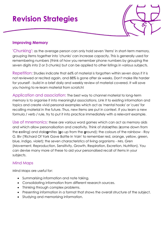### **Revision Strategies**

#### **Improving Memory**

'Chunking': as the average person can only hold seven 'items' in short-term memory, grouping items together into 'chunks' can increase capacity. This is generally used for remembering numbers (think of how you remember phone numbers by grouping the seven digits into 2 or 3 chunks) but can be applied to other listings in various subjects.

Repetition: Studies indicate that 66% of material is forgotten within seven days if it is not reviewed or recited again, and 88% is gone after six weeks. Don't make life harder for yourself - build in a brief daily and weekly review of material covered. It will save you having to re-learn material from scratch!

Application and association: The best way to channel material to long-term memory is to organise it into meaningful associations. Link it to existing information and topics and create vivid personal examples which act as 'mental hooks' or 'cues' for recalling material in the future. Thus, new items are put in context. If you learn a new formula / verb / rule, try to put it into practice immediately with a relevant example.

Use of mnemonics: these are various word games which can act as memory aids and which allow personalisation and creativity. Think of stala**c**tites (**c**ome down from the **c**eiling) and stala**g**mites (**g**o up from the **g**round); the colours of the rainbow - Roy G. Biv ('Richard Of York Gave Battle In Vain' to remember red, orange, yellow, green, blue, indigo, violet); the seven characteristics of living organisms - Mrs. Gren (Movement, Reproduction, Sensitivity, Growth, Respiration, Excretion, Nutrition). You can devise many more of these to aid your personalised recall of items in your subjects.

#### Mind Maps

Mind Maps are useful for:

- Summarising information and note taking.
- Consolidating information from different research sources.
- Thinking through complex problems.
- Presenting information in a format that shows the overall structure of the subject.
- Studying and memorising information.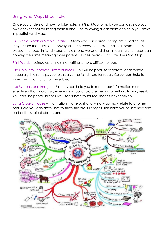#### Using Mind Maps Effectively:

Once you understand how to take notes in Mind Map format, you can develop your own conventions for taking them further. The following suggestions can help you draw impactful Mind Maps:

Use Single Words or Simple Phrases – Many words in normal writing are padding, as they ensure that facts are conveyed in the correct context, and in a format that is pleasant to read. In Mind Maps, single strong words and short, meaningful phrases can convey the same meaning more potently. Excess words just clutter the Mind Map.

Print Words – Joined up or indistinct writing is more difficult to read.

Use Colour to Separate Different Ideas – This will help you to separate ideas where necessary. It also helps you to visualize the Mind Map for recall. Colour can help to show the organisation of the subject.

Use Symbols and Images – Pictures can help you to remember information more effectively than words, so, where a symbol or picture means something to you, use it. You can use photo libraries like iStockPhoto to source images inexpensively.

Using Cross-Linkages – Information in one part of a Mind Map may relate to another part. Here you can draw lines to show the cross-linkages. This helps you to see how one part of the subject affects another.